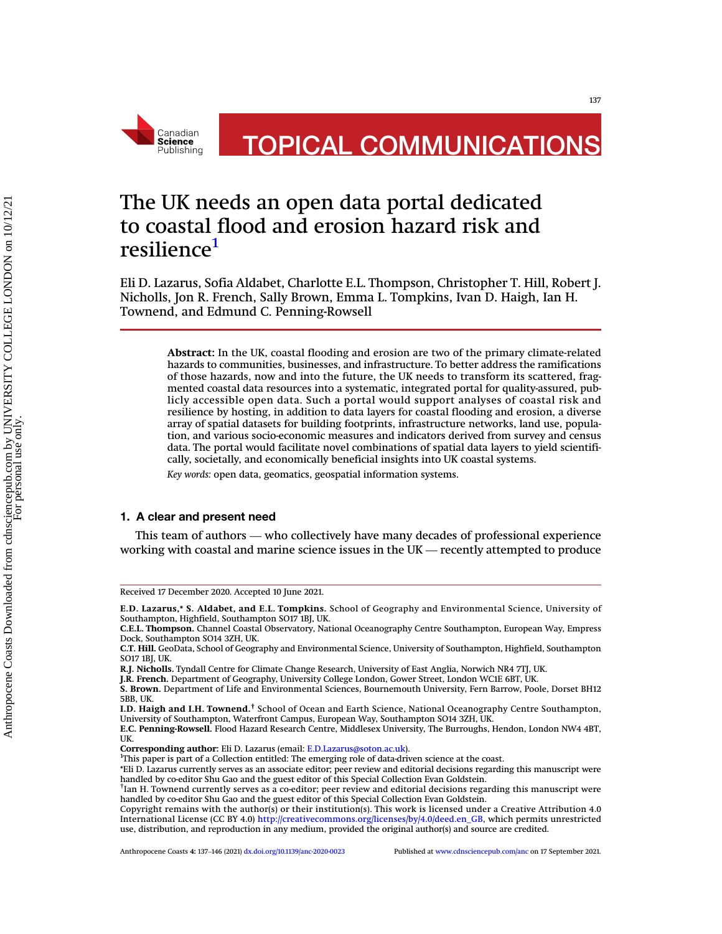

# The UK needs an open data portal dedicated to coastal flood and erosion hazard risk and resilience<sup>[1](#page-0-0)</sup>

Eli D. Lazarus, Sofia Aldabet, Charlotte E.L. Thompson, Christopher T. Hill, Robert J. Nicholls, Jon R. French, Sally Brown, Emma L. Tompkins, Ivan D. Haigh, Ian H. Townend, and Edmund C. Penning-Rowsell

Abstract: In the UK, coastal flooding and erosion are two of the primary climate-related hazards to communities, businesses, and infrastructure. To better address the ramifications of those hazards, now and into the future, the UK needs to transform its scattered, fragmented coastal data resources into a systematic, integrated portal for quality-assured, publicly accessible open data. Such a portal would support analyses of coastal risk and resilience by hosting, in addition to data layers for coastal flooding and erosion, a diverse array of spatial datasets for building footprints, infrastructure networks, land use, population, and various socio-economic measures and indicators derived from survey and census data. The portal would facilitate novel combinations of spatial data layers to yield scientifically, societally, and economically beneficial insights into UK coastal systems.

Key words: open data, geomatics, geospatial information systems.

### 1. A clear and present need

This team of authors — who collectively have many decades of professional experience working with coastal and marine science issues in the UK — recently attempted to produce

Corresponding author: Eli D. Lazarus (email: [E.D.Lazarus@soton.ac.uk\)](mailto:E.D.Lazarus@soton.ac.uk). <sup>1</sup>

Received 17 December 2020. Accepted 10 June 2021.

E.D. Lazarus,\* S. Aldabet, and E.L. Tompkins. School of Geography and Environmental Science, University of Southampton, Highfield, Southampton SO17 1BJ, UK.

C.E.L. Thompson. Channel Coastal Observatory, National Oceanography Centre Southampton, European Way, Empress Dock, Southampton SO14 3ZH, UK.

C.T. Hill. GeoData, School of Geography and Environmental Science, University of Southampton, Highfield, Southampton SO17 1BJ, UK.

R.J. Nicholls. Tyndall Centre for Climate Change Research, University of East Anglia, Norwich NR4 7TJ, UK.

J.R. French. Department of Geography, University College London, Gower Street, London WC1E 6BT, UK.

S. Brown. Department of Life and Environmental Sciences, Bournemouth University, Fern Barrow, Poole, Dorset BH12 5BB, UK.

I.D. Haigh and I.H. Townend.† School of Ocean and Earth Science, National Oceanography Centre Southampton, University of Southampton, Waterfront Campus, European Way, Southampton SO14 3ZH, UK.

E.C. Penning-Rowsell. Flood Hazard Research Centre, Middlesex University, The Burroughs, Hendon, London NW4 4BT, UK.

<span id="page-0-0"></span><sup>&</sup>lt;sup>1</sup>This paper is part of a Collection entitled: The emerging role of data-driven science at the coast.

<sup>\*</sup>Eli D. Lazarus currently serves as an associate editor; peer review and editorial decisions regarding this manuscript were handled by co-editor Shu Gao and the guest editor of this Special Collection Evan Goldstein.

 $^\dagger$ Ian H. Townend currently serves as a co-editor; peer review and editorial decisions regarding this manuscript were handled by co-editor Shu Gao and the guest editor of this Special Collection Evan Goldstein.

Copyright remains with the author(s) or their institution(s). This work is licensed under a Creative Attribution 4.0 International License (CC BY 4.0) [http://creativecommons.org/licenses/by/4.0/deed.en\\_GB,](http://creativecommons.org/licenses/by/4.0/deed.en_GB) which permits unrestricted International License (CC B1 4.0) http://creativecommons.org/iicenses/by/4.0/deed.en\_GB, which permits unrestricted<br>use, distribution, and reproduction in any medium, provided the original author(s) and source are credited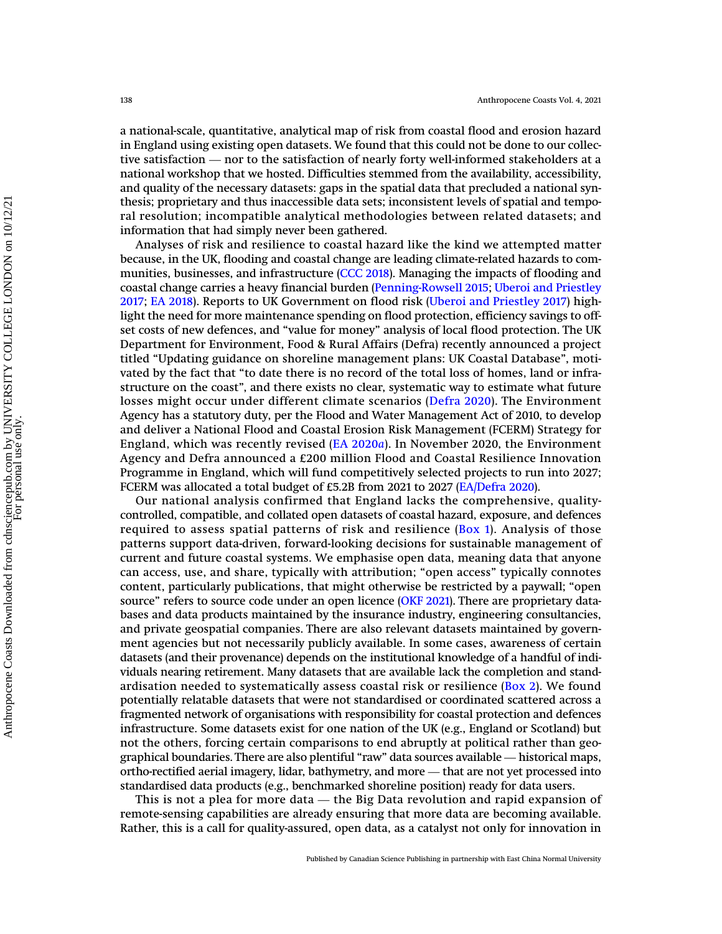a national-scale, quantitative, analytical map of risk from coastal flood and erosion hazard in England using existing open datasets. We found that this could not be done to our colleca national-scale, quantitative, analytical map of risk from coastal flood and erosion hazard<br>in England using existing open datasets. We found that this could not be done to our collec-<br>tive satisfaction — nor to the satis national workshop that we hosted. Difficulties stemmed from the availability, accessibility, and quality of the necessary datasets: gaps in the spatial data that precluded a national synthesis; proprietary and thus inaccessible data sets; inconsistent levels of spatial and temporal resolution; incompatible analytical methodologies between related datasets; and information that had simply never been gathered.

Analyses of risk and resilience to coastal hazard like the kind we attempted matter because, in the UK, flooding and coastal change are leading climate-related hazards to communities, businesses, and infrastructure ([CCC 2018](#page-7-0)). Managing the impacts of flooding and coastal change carries a heavy financial burden ([Penning-Rowsell 2015;](#page-8-0) [Uberoi and Priestley](#page-8-1) [2017](#page-8-1); [EA 2018\)](#page-7-1). Reports to UK Government on flood risk [\(Uberoi and Priestley 2017\)](#page-8-1) highlight the need for more maintenance spending on flood protection, efficiency savings to offset costs of new defences, and "value for money" analysis of local flood protection. The UK Department for Environment, Food & Rural Affairs (Defra) recently announced a project titled "Updating guidance on shoreline management plans: UK Coastal Database", motivated by the fact that "to date there is no record of the total loss of homes, land or infrastructure on the coast", and there exists no clear, systematic way to estimate what future losses might occur under different climate scenarios ([Defra 2020\)](#page-7-2). The Environment Agency has a statutory duty, per the Flood and Water Management Act of 2010, to develop and deliver a National Flood and Coastal Erosion Risk Management (FCERM) Strategy for England, which was recently revised [\(EA 2020](#page-7-3)a). In November 2020, the Environment Agency and Defra announced a £200 million Flood and Coastal Resilience Innovation Programme in England, which will fund competitively selected projects to run into 2027; FCERM was allocated a total budget of £5.2B from 2021 to 2027 ([EA/Defra 2020](#page-8-2)).

Our national analysis confirmed that England lacks the comprehensive, qualitycontrolled, compatible, and collated open datasets of coastal hazard, exposure, and defences required to assess spatial patterns of risk and resilience ( $Box$ ). Analysis of those patterns support data-driven, forward-looking decisions for sustainable management of current and future coastal systems. We emphasise open data, meaning data that anyone can access, use, and share, typically with attribution; "open access" typically connotes content, particularly publications, that might otherwise be restricted by a paywall; "open source" refers to source code under an open licence [\(OKF 2021](#page-8-3)). There are proprietary databases and data products maintained by the insurance industry, engineering consultancies, and private geospatial companies. There are also relevant datasets maintained by government agencies but not necessarily publicly available. In some cases, awareness of certain datasets (and their provenance) depends on the institutional knowledge of a handful of individuals nearing retirement. Many datasets that are available lack the completion and standardisation needed to systematically assess coastal risk or resilience ( $Box 2$ ). We found potentially relatable datasets that were not standardised or coordinated scattered across a fragmented network of organisations with responsibility for coastal protection and defences<br>infrastructure. Some datasets exist for one nation of the UK (e.g., England or Scotland) but<br>not the others, forcing certain compa infrastructure. Some datasets exist for one nation of the UK (e.g., England or Scotland) but not the others, forcing certain comparisons to end abruptly at political rather than geo-Infrastructure. Some datasets exist for one nation of the UK (e.g., England or Scotland) but<br>not the others, forcing certain comparisons to end abruptly at political rather than geo-<br>graphical boundaries. There are also pl standardised data products (e.g., benchmarked shoreline position) ready for data users. refined boundaries. There are also plentiful "raw" data sources available — historical maps, ho-rectified aerial imagery, lidar, bathymetry, and more — that are not yet processed into indardised data products (e.g., benchm

remote-sensing capabilities are already ensuring that more data are becoming available. Rather, this is a call for quality-assured, open data, as a catalyst not only for innovation in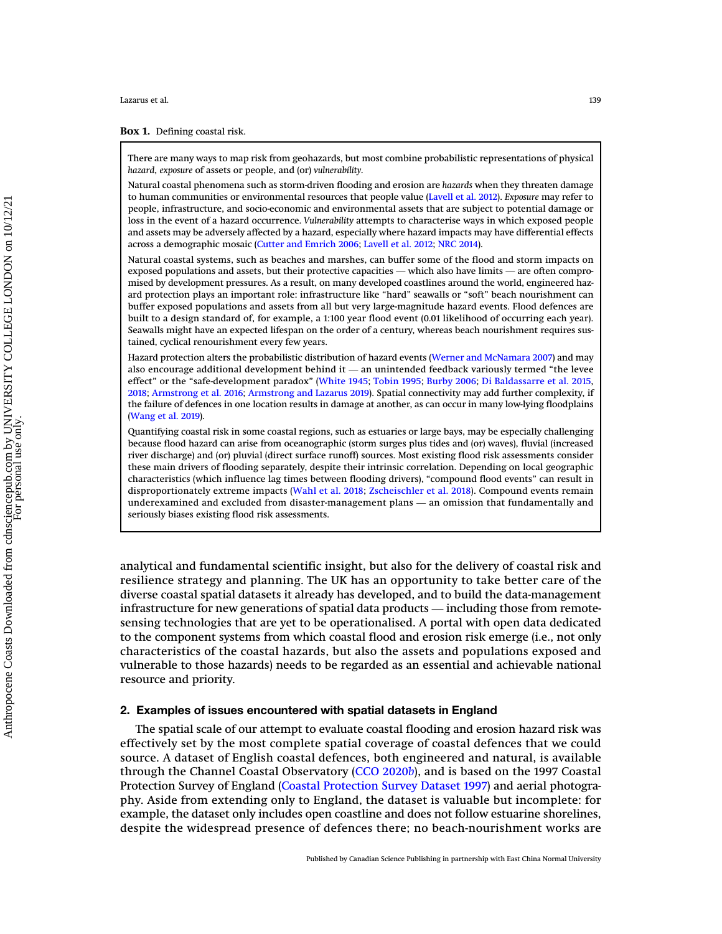### <span id="page-2-0"></span>Box 1. Defining coastal risk.

There are many ways to map risk from geohazards, but most combine probabilistic representations of physical hazard, exposure of assets or people, and (or) vulnerability.

Natural coastal phenomena such as storm-driven flooding and erosion are hazards when they threaten damage to human communities or environmental resources that people value ([Lavell et al. 2012\)](#page-8-4). Exposure may refer to people, infrastructure, and socio-economic and environmental assets that are subject to potential damage or loss in the event of a hazard occurrence. Vulnerability attempts to characterise ways in which exposed people and assets may be adversely affected by a hazard, especially where hazard impacts may have differential effects across a demographic mosaic ([Cutter and Emrich 2006](#page-7-6); [Lavell et al. 2012](#page-8-4); [NRC 2014\)](#page-8-5). and assets may be adversely affected by a hazard, especially where hazard impacts may have differential effects<br>across a demographic mosaic (Cutter and Emrich 2006; Lavell et al. 2012; NRC 2014).<br>Natural coastal systems, s

Natural coastal systems, such as beaches and marshes, can buffer some of the flood and storm impacts on mised by development pressures. As a result, on many developed coastlines around the world, engineered hazard protection plays an important role: infrastructure like "hard" seawalls or "soft" beach nourishment can buffer exposed populations and assets from all but very large-magnitude hazard events. Flood defences are built to a design standard of, for example, a 1:100 year flood event (0.01 likelihood of occurring each year). Seawalls might have an expected lifespan on the order of a century, whereas beach nourishment requires sustained, cyclical renourishment every few years. Seawalls might have an expected lifespan on the order of a century, whereas beach nourishment requires sustained, cyclical renourishment every few years.<br>Hazard protection alters the probabilistic distribution of hazard ev

Hazard protection alters the probabilistic distribution of hazard events [\(Werner and McNamara 2007\)](#page-9-0) and may effect" or the "safe-development paradox" [\(White 1945](#page-9-1); [Tobin 1995](#page-8-6); [Burby 2006](#page-7-7); [Di Baldassarre et al. 2015,](#page-7-8) [2018](#page-7-9); [Armstrong et al. 2016](#page-7-10); [Armstrong and Lazarus 2019](#page-7-11)). Spatial connectivity may add further complexity, if the failure of defences in one location results in damage at another, as can occur in many low-lying floodplains ([Wang et al. 2019\)](#page-9-2).

Quantifying coastal risk in some coastal regions, such as estuaries or large bays, may be especially challenging because flood hazard can arise from oceanographic (storm surges plus tides and (or) waves), fluvial (increased river discharge) and (or) pluvial (direct surface runoff) sources. Most existing flood risk assessments consider these main drivers of flooding separately, despite their intrinsic correlation. Depending on local geographic characteristics (which influence lag times between flooding drivers), "compound flood events" can result in disproportionately extreme impacts ([Wahl et al. 2018](#page-9-3); [Zscheischler et al. 2018](#page-9-4)). Compound events remain these main drivers of flooding separately, despite their intrinsic correlation. Depending on local geographic<br>characteristics (which influence lag times between flooding drivers), "compound flood events" can result in<br>disp seriously biases existing flood risk assessments.

analytical and fundamental scientific insight, but also for the delivery of coastal risk and resilience strategy and planning. The UK has an opportunity to take better care of the diverse coastal spatial datasets it already has developed, and to build the data-management infrastructure for new generations of spatial data products — including those from remotesensing technologies that are yet to be operationalised. A portal with open data dedicated to the component systems from which coastal flood and erosion risk emerge (i.e., not only characteristics of the coastal hazards, but also the assets and populations exposed and vulnerable to those hazards) needs to be regarded as an essential and achievable national resource and priority.

### 2. Examples of issues encountered with spatial datasets in England

The spatial scale of our attempt to evaluate coastal flooding and erosion hazard risk was effectively set by the most complete spatial coverage of coastal defences that we could source. A dataset of English coastal defences, both engineered and natural, is available through the Channel Coastal Observatory [\(CCO 2020](#page-7-4)b), and is based on the 1997 Coastal Protection Survey of England ([Coastal Protection Survey Dataset 1997](#page-7-5)) and aerial photography. Aside from extending only to England, the dataset is valuable but incomplete: for example, the dataset only includes open coastline and does not follow estuarine shorelines, despite the widespread presence of defences there; no beach-nourishment works are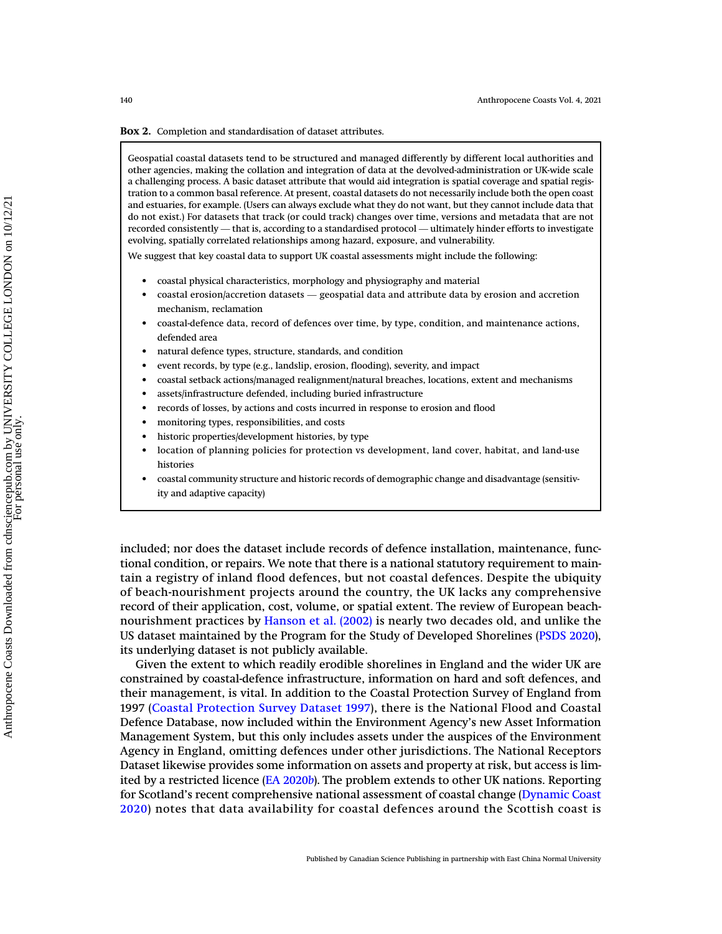### <span id="page-3-0"></span>Box 2. Completion and standardisation of dataset attributes.

Geospatial coastal datasets tend to be structured and managed differently by different local authorities and other agencies, making the collation and integration of data at the devolved-administration or UK-wide scale a challenging process. A basic dataset attribute that would aid integration is spatial coverage and spatial registration to a common basal reference. At present, coastal datasets do not necessarily include both the open coast and estuaries, for example. (Users can always exclude what they do not want, but they cannot include data that do not exist.) For datasets that track (or could track) changes over time, versions and metadata that are not recorded consistently — that is, according to a standardised protocol — ultimately hinder efforts to investigate evolving, spatially correlated relationships among hazard, exposure, and vulnerability.

We suggest that key coastal data to support UK coastal assessments might include the following:

- coastal physical characteristics, morphology and physiography and material
- coastal erosion/accretion datasets geospatial data and attribute data by erosion and accretion mechanism, reclamation
- coastal-defence data, record of defences over time, by type, condition, and maintenance actions, defended area
- natural defence types, structure, standards, and condition
- event records, by type (e.g., landslip, erosion, flooding), severity, and impact
- coastal setback actions/managed realignment/natural breaches, locations, extent and mechanisms
- assets/infrastructure defended, including buried infrastructure
- records of losses, by actions and costs incurred in response to erosion and flood
- monitoring types, responsibilities, and costs
- historic properties/development histories, by type
- location of planning policies for protection vs development, land cover, habitat, and land-use histories
- coastal community structure and historic records of demographic change and disadvantage (sensitivity and adaptive capacity)

included; nor does the dataset include records of defence installation, maintenance, functional condition, or repairs. We note that there is a national statutory requirement to maintain a registry of inland flood defences, but not coastal defences. Despite the ubiquity of beach-nourishment projects around the country, the UK lacks any comprehensive record of their application, cost, volume, or spatial extent. The review of European beachnourishment practices by [Hanson et al. \(2002\)](#page-8-7) is nearly two decades old, and unlike the US dataset maintained by the Program for the Study of Developed Shorelines [\(PSDS 2020\)](#page-8-8), its underlying dataset is not publicly available.

Given the extent to which readily erodible shorelines in England and the wider UK are constrained by coastal-defence infrastructure, information on hard and soft defences, and their management, is vital. In addition to the Coastal Protection Survey of England from 1997 ([Coastal Protection Survey Dataset 1997](#page-7-5)), there is the National Flood and Coastal Defence Database, now included within the Environment Agency's new Asset Information Management System, but this only includes assets under the auspices of the Environment Agency in England, omitting defences under other jurisdictions. The National Receptors Dataset likewise provides some information on assets and property at risk, but access is limited by a restricted licence [\(EA 2020](#page-7-12)b). The problem extends to other UK nations. Reporting for Scotland's recent comprehensive national assessment of coastal change ([Dynamic Coast](#page-7-13) [2020](#page-7-13)) notes that data availability for coastal defences around the Scottish coast is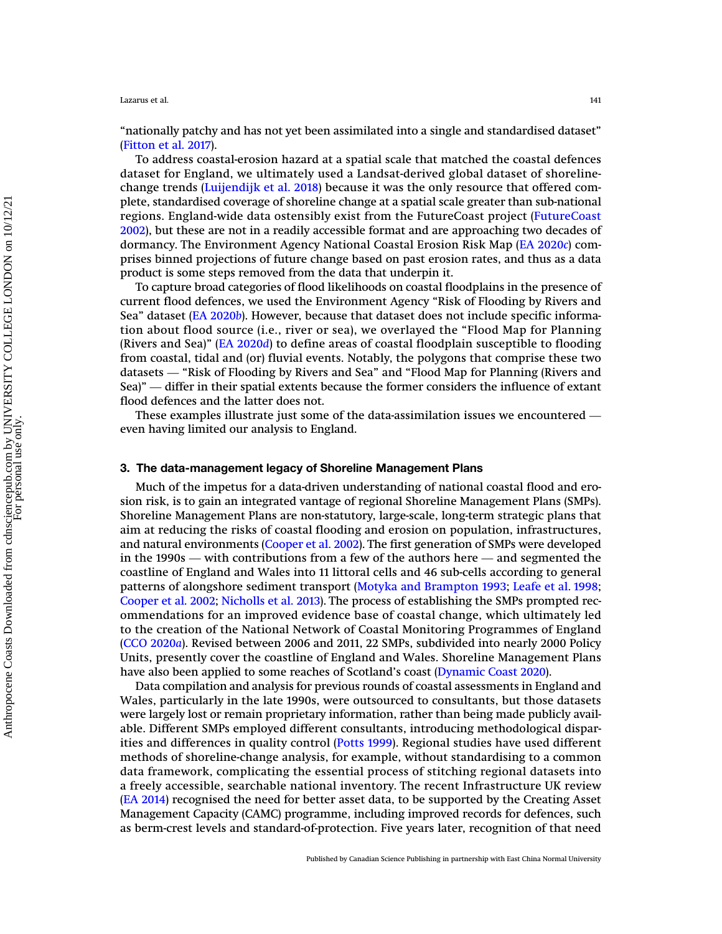"nationally patchy and has not yet been assimilated into a single and standardised dataset" ([Fitton et al. 2017\)](#page-8-9).

To address coastal-erosion hazard at a spatial scale that matched the coastal defences dataset for England, we ultimately used a Landsat-derived global dataset of shorelinechange trends ([Luijendijk et al. 2018](#page-8-10)) because it was the only resource that offered complete, standardised coverage of shoreline change at a spatial scale greater than sub-national regions. England-wide data ostensibly exist from the FutureCoast project ([FutureCoast](#page-8-11) [2002](#page-8-11)), but these are not in a readily accessible format and are approaching two decades of dormancy. The Environment Agency National Coastal Erosion Risk Map ([EA 2020](#page-7-14)c) comprises binned projections of future change based on past erosion rates, and thus as a data product is some steps removed from the data that underpin it.

To capture broad categories of flood likelihoods on coastal floodplains in the presence of current flood defences, we used the Environment Agency "Risk of Flooding by Rivers and Sea" dataset [\(EA 2020](#page-7-12)b). However, because that dataset does not include specific information about flood source (i.e., river or sea), we overlayed the "Flood Map for Planning (Rivers and Sea)" ([EA 2020](#page-7-15)d) to define areas of coastal floodplain susceptible to flooding from coastal, tidal and (or) fluvial events. Notably, the polygons that comprise these two dataset (EX 20200). However, because that takaset toes not include specific information about flood source (i.e., river or sea), we overlayed the "Flood Map for Planning (Rivers and Sea)" (EA 2020d) to define areas of coas (Rivers and Sea)" (EA 2020d) to define areas of coastal floodplain susceptible to flooding<br>from coastal, tidal and (or) fluvial events. Notably, the polygons that comprise these two<br>datasets — "Risk of Flooding by Rivers a flood defences and the latter does not. datasets — "Risk of Flooding by Rivers and Sea" and "Flood Map for Planning (Rivers and Sea)" — differ in their spatial extents because the former considers the influence of extant flood defences and the latter does not.<br>T

even having limited our analysis to England.

## 3. The data-management legacy of Shoreline Management Plans

Much of the impetus for a data-driven understanding of national coastal flood and erosion risk, is to gain an integrated vantage of regional Shoreline Management Plans (SMPs). Shoreline Management Plans are non-statutory, large-scale, long-term strategic plans that aim at reducing the risks of coastal flooding and erosion on population, infrastructures, and natural environments (Cooper et al. 20 aim at reducing the risks of coastal flooding and erosion on population, infrastructures, and natural environments ([Cooper et al. 2002\)](#page-7-16). The first generation of SMPs were developed coastline of England and Wales into 11 littoral cells and 46 sub-cells according to general patterns of alongshore sediment transport [\(Motyka and Brampton 1993;](#page-8-12) [Leafe et al. 1998](#page-8-13); [Cooper et al. 2002;](#page-7-16) [Nicholls et al. 2013\)](#page-8-14). The process of establishing the SMPs prompted recommendations for an improved evidence base of coastal change, which ultimately led to the creation of the National Network of Coastal Monitoring Programmes of England ([CCO 2020](#page-7-17)a). Revised between 2006 and 2011, 22 SMPs, subdivided into nearly 2000 Policy Units, presently cover the coastline of England and Wales. Shoreline Management Plans have also been applied to some reaches of Scotland's coast [\(Dynamic Coast 2020\)](#page-7-13).

Data compilation and analysis for previous rounds of coastal assessments in England and Wales, particularly in the late 1990s, were outsourced to consultants, but those datasets were largely lost or remain proprietary information, rather than being made publicly available. Different SMPs employed different consultants, introducing methodological disparities and differences in quality control ([Potts 1999\)](#page-8-15). Regional studies have used different methods of shoreline-change analysis, for example, without standardising to a common data framework, complicating the essential process of stitching regional datasets into a freely accessible, searchable national inventory. The recent Infrastructure UK review ([EA 2014](#page-7-18)) recognised the need for better asset data, to be supported by the Creating Asset Management Capacity (CAMC) programme, including improved records for defences, such as berm-crest levels and standard-of-protection. Five years later, recognition of that need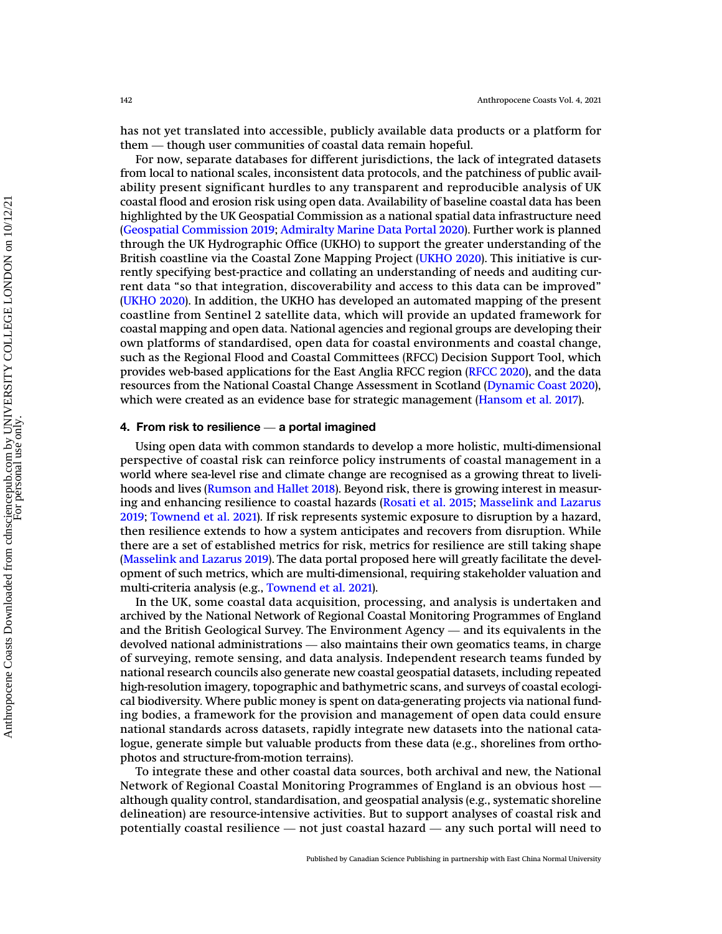has not yet translated into accessible, publicly available data products or a platform for <sup>142</sup><br>has not yet translated into accessible, publicly available data pro<br>them — though user communities of coastal data remain hopeful.

For now, separate databases for different jurisdictions, the lack of integrated datasets from local to national scales, inconsistent data protocols, and the patchiness of public availability present significant hurdles to any transparent and reproducible analysis of UK coastal flood and erosion risk using open data. Availability of baseline coastal data has been highlighted by the UK Geospatial Commission as a national spatial data infrastructure need ([Geospatial Commission 2019](#page-8-16); [Admiralty Marine Data Portal 2020\)](#page-7-19). Further work is planned through the UK Hydrographic Office (UKHO) to support the greater understanding of the British coastline via the Coastal Zone Mapping Project ([UKHO 2020](#page-9-5)). This initiative is currently specifying best-practice and collating an understanding of needs and auditing current data "so that integration, discoverability and access to this data can be improved" ([UKHO 2020\)](#page-9-5). In addition, the UKHO has developed an automated mapping of the present coastline from Sentinel 2 satellite data, which will provide an updated framework for coastal mapping and open data. National agencies and regional groups are developing their own platforms of standardised, open data for coastal environments and coastal change, such as the Regional Flood and Coastal Committees (RFCC) Decision Support Tool, which provides web-based applications for the East Anglia RFCC region [\(RFCC 2020](#page-8-17)), and the data resources from the National Coastal Change Assessment in Scotland [\(Dynamic Coast 2020\)](#page-7-13), which were created as an evidence base for strategic management [\(Hansom et al. 2017\)](#page-8-18). provides web-based applications for the East Ana<br>resources from the National Coastal Change Asse<br>which were created as an evidence base for strat<br>4. From risk to resilience — a portal imagined

Using open data with common standards to develop a more holistic, multi-dimensional perspective of coastal risk can reinforce policy instruments of coastal management in a world where sea-level rise and climate change are recognised as a growing threat to livelihoods and lives [\(Rumson and Hallet 2018](#page-8-19)). Beyond risk, there is growing interest in measuring and enhancing resilience to coastal hazards ([Rosati et al. 2015](#page-8-20); [Masselink and Lazarus](#page-8-21) [2019](#page-8-21); [Townend et al. 2021\)](#page-8-22). If risk represents systemic exposure to disruption by a hazard, then resilience extends to how a system anticipates and recovers from disruption. While there are a set of established metrics for risk, metrics for resilience are still taking shape ([Masselink and Lazarus 2019\)](#page-8-21). The data portal proposed here will greatly facilitate the development of such metrics, which are multi-dimensional, requiring stakeholder valuation and multi-criteria analysis (e.g., [Townend et al. 2021\)](#page-8-22).

In the UK, some coastal data acquisition, processing, and analysis is undertaken and archived by the National Network of Regional Coastal Monitoring Programmes of England and the British Geological Survey. The Environment Agency — and its equivalents in the British Geological Survey. The Environment Agency — and its equivalents in the British Geological Survey. The Environment Agency — and In the UK, some coastal data acquisition, processing, and analysis is undertaken and<br>archived by the National Network of Regional Coastal Monitoring Programmes of England<br>and the British Geological Survey. The Environment of surveying, remote sensing, and data analysis. Independent research teams funded by national research councils also generate new coastal geospatial datasets, including repeated high-resolution imagery, topographic and bathymetric scans, and surveys of coastal ecological biodiversity. Where public money is spent on data-generating projects via national funding bodies, a framework for the provision and management of open data could ensure national standards across datasets, rapidly integrate new datasets into the national catalogue, generate simple but valuable products from these data (e.g., shorelines from orthophotos and structure-from-motion terrains). Network of Regional Coastal Monitoring Programmes of England is an obvious host —<br>Network of Regional Coastal Monitoring Programmes of England is an obvious host —<br>Network of Regional Coastal Monitoring Programmes of Engla

To integrate these and other coastal data sources, both archival and new, the National although quality control, standardisation, and geospatial analysis (e.g., systematic shoreline delineation) are resource-intensive activities. But to support analyses of coastal risk and potentially coastal resident coastal resident and solices, both archival and new, the National<br>Network of Regional Coastal Monitoring Programmes of England is an obvious host —<br>although quality control, standardisation, an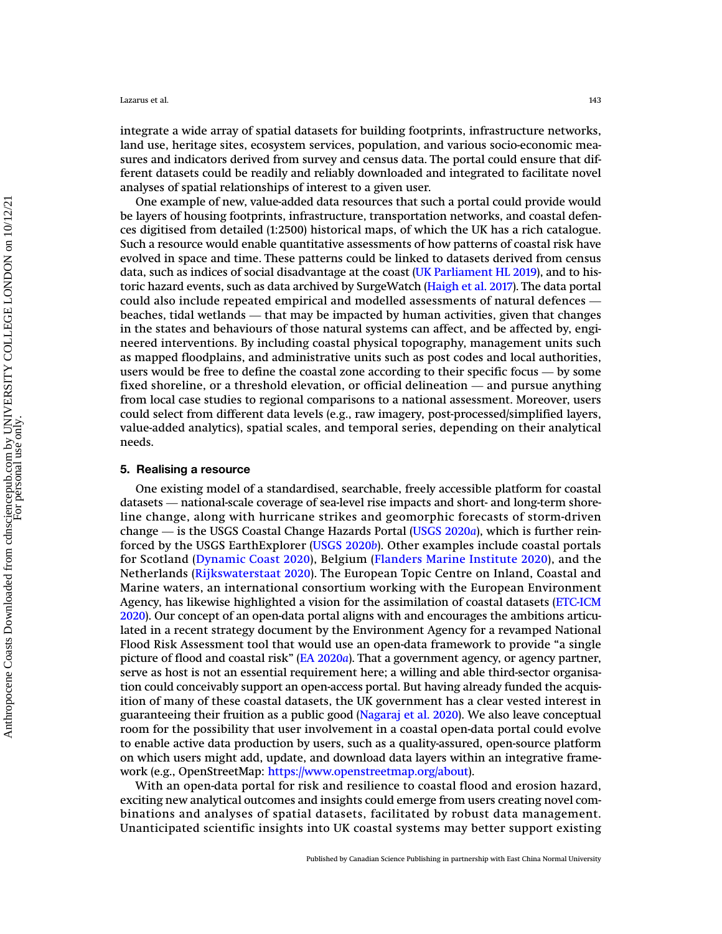integrate a wide array of spatial datasets for building footprints, infrastructure networks, land use, heritage sites, ecosystem services, population, and various socio-economic measures and indicators derived from survey and census data. The portal could ensure that different datasets could be readily and reliably downloaded and integrated to facilitate novel analyses of spatial relationships of interest to a given user.

One example of new, value-added data resources that such a portal could provide would be layers of housing footprints, infrastructure, transportation networks, and coastal defences digitised from detailed (1:2500) historical maps, of which the UK has a rich catalogue. Such a resource would enable quantitative assessments of how patterns of coastal risk have evolved in space and time. These patterns could be linked to datasets derived from census data, such as indices of social disadvantage at the coast ([UK Parliament HL 2019](#page-9-6)), and to historic hazard events, such as data archived by SurgeWatch [\(Haigh et al. 2017](#page-8-23)). The data portal such a resource would chable quantitative assessments of now patterns of coastal risk have<br>evolved in space and time. These patterns could be linked to datasets derived from census<br>data, such as indices of social disadvant beaches, tidal wetlands — that may be impacted by human activities, given that changes beaches, tidal wetlands — that may be impacted by human activities, given that changes beaches, tidal wetlands — that may be impacted b in the states and behaviours of those natural systems can affect, and be affected by, engineered interventions. By including coastal physical topography, management units such as mapped floodplains, and administrative units such as post codes and local authorities, beaches, than weblands — that may be impacted by hannah activities, given that enanges<br>in the states and behaviours of those natural systems can affect, and be affected by, engi-<br>neered interventions. By including coastal users would be free to define the coastal zone according to their specific focus  $-$  by some fixed shoreline, or a threshold elevation, or official delineation  $-$  and pursue anything from local case studies to regional comparisons to a national assessment. Moreover, users could select from different data levels (e.g., raw imagery, post-processed/simplified layers, value-added analytics), spatial scales, and temporal series, depending on their analytical needs.

### 5. Realising a resource

One existing model of a standardised, searchable, freely accessible platform for coastal 5. Realising a resource<br>One existing model of a standardised, searchable, freely accessible platform for coastal<br>datasets — national-scale coverage of sea-level rise impacts and short- and long-term shoreline change, along with hurricane strikes and geomorphic forecasts of storm-driven One existing model of a standardised, searchable, freely accessible platform for coastal<br>datasets — national-scale coverage of sea-level rise impacts and short- and long-term shore-<br>line change, along with hurricane strik forced by the USGS EarthExplorer ([USGS 2020](#page-9-8)b). Other examples include coastal portals for Scotland ([Dynamic Coast 2020](#page-7-13)), Belgium ([Flanders Marine Institute 2020\)](#page-8-24), and the Netherlands ([Rijkswaterstaat 2020\)](#page-8-25). The European Topic Centre on Inland, Coastal and Marine waters, an international consortium working with the European Environment Agency, has likewise highlighted a vision for the assimilation of coastal datasets ([ETC-ICM](#page-8-26) [2020](#page-8-26)). Our concept of an open-data portal aligns with and encourages the ambitions articulated in a recent strategy document by the Environment Agency for a revamped National Flood Risk Assessment tool that would use an open-data framework to provide "a single picture of flood and coastal risk" [\(EA 2020](#page-7-3)a). That a government agency, or agency partner, serve as host is not an essential requirement here; a willing and able third-sector organisation could conceivably support an open-access portal. But having already funded the acquisition of many of these coastal datasets, the UK government has a clear vested interest in guaranteeing their fruition as a public good [\(Nagaraj et al. 2020\)](#page-8-27). We also leave conceptual room for the possibility that user involvement in a coastal open-data portal could evolve to enable active data production by users, such as a quality-assured, open-source platform on which users might add, update, and download data layers within an integrative framework (e.g., OpenStreetMap: <https://www.openstreetmap.org/about>).

With an open-data portal for risk and resilience to coastal flood and erosion hazard, exciting new analytical outcomes and insights could emerge from users creating novel combinations and analyses of spatial datasets, facilitated by robust data management. Unanticipated scientific insights into UK coastal systems may better support existing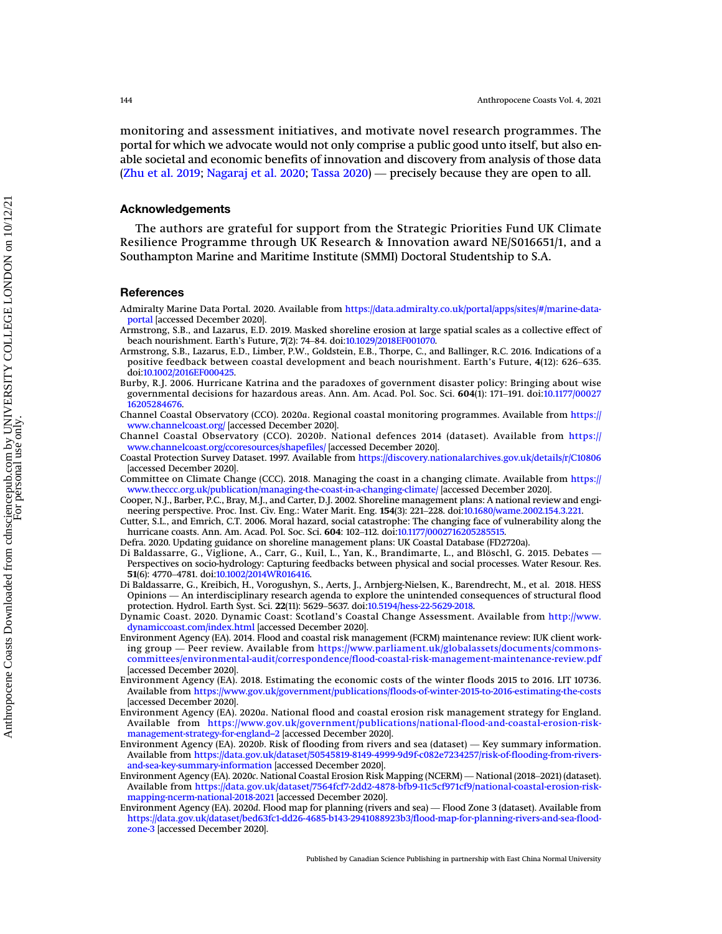monitoring and assessment initiatives, and motivate novel research programmes. The<br>portal for which we advocate would not only comprise a public good unto itself, but also en-<br>able societal and economic benefits of innovat portal for which we advocate would not only comprise a public good unto itself, but also enable societal and economic benefits of innovation and discovery from analysis of those data

### Acknowledgements

The authors are grateful for support from the Strategic Priorities Fund UK Climate Resilience Programme through UK Research & Innovation award NE/S016651/1, and a Southampton Marine and Maritime Institute (SMMI) Doctoral Studentship to S.A.

### <span id="page-7-19"></span>References

- <span id="page-7-11"></span>Admiralty Marine Data Portal. 2020. Available from https://data.admiralty.co.uk/portal/apps/sites/#/marine-data-<br>portal [accessed December 2020].<br>Armstrong, S.B., and Lazarus, E.D. 2019. Masked shoreline erosion at large s [portal](https://data.admiralty.co.uk/portal/apps/sites/#/marine-data-portal) [accessed December 2020].
- <span id="page-7-10"></span>Armstrong, S.B., and Lazarus, E.D. 2019. Masked shoreline erosion at large spatial scales as a collective effect of
- <span id="page-7-7"></span>Armstrong, S.B., Lazarus, E.D., Limber, P.W., Goldstein, E.B., Thorpe, C., and Ballinger, R.C. 2016. Indications of a beach nourishment. Earth's Future, 7(2): 74–84. doi:10.1029/2018EF001070.<br>19 rmstrong, S.B., Lazarus, E.D., Limber, P.W., Goldstein, E.B., Thorpe, C., and Ballinger, R.C. 2016. Indications of a<br>19 positive feedback between doi:[10.1002/2016EF000425.](http://dx.doi.org/10.1002/2016EF000425)
- <span id="page-7-17"></span>Burby, R.J. 2006. Hurricane Katrina and the paradoxes of government disaster policy: Bringing about wise governmental decisions for hazardous areas. Ann. Am. Acad. Pol. Soc. Sci. 604(1): 171-191. doi[:10.1177/00027](http://dx.doi.org/10.1177/0002716205284676) [16205284676](http://dx.doi.org/10.1177/0002716205284676).
- <span id="page-7-4"></span>Channel Coastal Observatory (CCO). 2020a. Regional coastal monitoring programmes. Available from [https://](https://www.channelcoast.org/) [www.channelcoast.org/](https://www.channelcoast.org/) [accessed December 2020].

<span id="page-7-5"></span>Channel Coastal Observatory (CCO). 2020b. National defences 2014 (dataset). Available from [https://](https://www.channelcoast.org/ccoresources/shapefiles/) [www.channelcoast.org/ccoresources/shapefiles/](https://www.channelcoast.org/ccoresources/shapefiles/) [accessed December 2020].

- <span id="page-7-0"></span>Coastal Protection Survey Dataset. 1997. Available from <https://discovery.nationalarchives.gov.uk/details/r/C10806> [accessed December 2020].
- <span id="page-7-16"></span>Committee on Climate Change (CCC). 2018. Managing the coast in a changing climate. Available from [https://](https://www.theccc.org.uk/publication/managing-the-coast-in-a-changing-climate/) [www.theccc.org.uk/publication/managing-the-coast-in-a-changing-climate/](https://www.theccc.org.uk/publication/managing-the-coast-in-a-changing-climate/) [accessed December 2020]. <sub>l</sub>accessed December 2020].<br>ommittee on Climate Change (CCC). 2018. Managing the coast in a changing climate. Available from htt<br>www.thecc.org.uk/publication/managing-the-coast-in-a-changing-climate/ [accessed December 202
- <span id="page-7-2"></span>Cooper, N.J., Barber, P.C., Bray, M.J., and Carter, D.J. 2002. Shoreline management plans: A national review and engi-
- <span id="page-7-6"></span>Cutter, S.L., and Emrich, C.T. 2006. Moral hazard, social catastrophe: The changing face of vulnerability along the hurricane coasts. Ann. Am. Acad. Pol. Soc. Sci. 604: 102-112. doi:10.1177/0002716205285515. www.theccc.org.uk/publication/managing-the-coast-in-a-changing-climate/ [accessed Decen<br>ooper, N.J., Barber, P.C., Bray, M.J., and Carter, D.J. 2002. Shoreline management plans: A na<br>neering perspective. Proc. Inst. Civ. E neering perspective. Proc. Inst. Civ. Eng.: Water Marit. Eng. 154(3): 221–228. doi:10.1680/wame.2002.154.3.221.<br>Cutter, S.L., and Emrich, C.T. 2006. Moral hazard, social catastrophe: The changing face of vulnerability alon
- <span id="page-7-9"></span>Defra. 2020. Updating guidance on shoreline management plans: UK Coastal Database (FD2720a).
- <span id="page-7-8"></span>1 Baldassarre, G., Vigilone, A., Carr, G., Kull, L., Yan, K., Brandimarte, L., and Bloschl, G. 2015. Debates —<br>Perspectives on socio-hydrology: Capturing feedbacks between physical and social processes. Water Resour. Res.<br> nurricane coasts. Ann. Am. Acad. Pol. Soc. 5<br>efra. 2020. Updating guidance on shoreline<br>i Baldassarre, G., Viglione, A., Carr, G., K<br>Perspectives on socio-hydrology: Capturing<br>**51**(6): 4770–4781. doi[:10.1002/2014WR016416.](http://dx.doi.org/10.1002/2014WR016416) 51(6): 4770–4781. doi:10.1002/2014WR016416.<br>Di Baldassarre, G., Kreibich, H., Vorogushyn, S., Aerts, J., Arnbjerg-Nielsen, K., Barendrecht, M., et al. 2018. HESS
- <span id="page-7-13"></span>Opinions — An interdisciplinary research agenda to explore the unintended consequences of structural flood<br>protection. Hydrol. Earth Syst. Sci. 22(11): 5629–5637. doi:[10.5194/hess-22-5629-2018](http://dx.doi.org/10.5194/hess-22-5629-2018).
- <span id="page-7-18"></span>Dynamic Coast. 2020. Dynamic Coast: Scotland's Coastal Change Assessment. Available from [http://www.](http://www.dynamiccoast.com/index.html) [dynamiccoast.com/index.html](http://www.dynamiccoast.com/index.html) [accessed December 2020].
- <span id="page-7-1"></span>Environment Agency (EA). 2014. Flood and coastal risk management (FCRM) maintenance review: IUK client working group — Peer review. Available from [https://www.parliament.uk/globalassets/documents/commons](https://www.parliament.uk/globalassets/documents/commons-committees/environmental-audit/correspondence/flood-coastal-risk-management-maintenance-review.pdf)[committees/environmental-audit/correspondence/flood-coastal-risk-management-maintenance-review.pdf](https://www.parliament.uk/globalassets/documents/commons-committees/environmental-audit/correspondence/flood-coastal-risk-management-maintenance-review.pdf) [accessed December 2020].
- <span id="page-7-3"></span>Environment Agency (EA). 2018. Estimating the economic costs of the winter floods 2015 to 2016. LIT 10736. Available from <https://www.gov.uk/government/publications/floods-of-winter-2015-to-2016-estimating-the-costs> [accessed December 2020].
- <span id="page-7-12"></span>Environment Agency (EA). 2020a. National flood and coastal erosion risk management strategy for England. Available from [https://www.gov.uk/government/publications/national-flood-and-coastal-erosion-risk](https://www.gov.uk/government/publications/national-flood-and-coastal-erosion-risk-management-strategy-for-england--2)[management-strategy-for-england](https://www.gov.uk/government/publications/national-flood-and-coastal-erosion-risk-management-strategy-for-england--2)–2 [accessed December 2020].<br>Environment Agency (EA). 2020b. Risk of flooding from rivers and sea (dataset) — Key summary information. accessed December 2020].<br>Environment Agency (EA). 2020a. National flood and coastal erosion risk management strategy for England.<br>Available from https://www.gov.uk/government/publications/national-flood-and-coastal-erosion
- <span id="page-7-14"></span>Available from [https://data.gov.uk/dataset/50545819-8149-4999-9d9f-c082e7234257/risk-of-flooding-from-rivers](https://data.gov.uk/dataset/50545819-8149-4999-9d9f-c082e7234257/risk-of-flooding-from-rivers-and-sea-key-summary-information)[and-sea-key-summary-information](https://data.gov.uk/dataset/50545819-8149-4999-9d9f-c082e7234257/risk-of-flooding-from-rivers-and-sea-key-summary-information) [accessed December 2020]. management-strategy-for-england--2 [accessed December 2020].<br>Environment Agency (EA). 2020b. Risk of flooding from rivers and sea (dataset) — Key summary information.<br>Available from https://data.gov.uk/dataset/50545819-814
- <span id="page-7-15"></span>Available from [https://data.gov.uk/dataset/7564fcf7-2dd2-4878-bfb9-11c5cf971cf9/national-coastal-erosion-risk](https://data.gov.uk/dataset/7564fcf7-2dd2-4878-bfb9-11c5cf971cf9/national-coastal-erosion-risk-mapping-ncerm-national-2018-2021)[mapping-ncerm-national-2018-2021](https://data.gov.uk/dataset/7564fcf7-2dd2-4878-bfb9-11c5cf971cf9/national-coastal-erosion-risk-mapping-ncerm-national-2018-2021) [accessed December 2020]. and-sea-key-summary-information [accessed December 2020].<br>Environment Agency (EA). 2020c. National Coastal Erosion Risk Mapping (NCERM) — National (2018–2021) (dataset)<br>Available from https://data.gov.uk/dataset/7564fcf7-2
- [https://data.gov.uk/dataset/bed63fc1-dd26-4685-b143-2941088923b3/flood-map-for-planning-rivers-and-sea-flood](https://data.gov.uk/dataset/bed63fc1-dd26-4685-b143-2941088923b3/flood-map-for-planning-rivers-and-sea-flood-zone-3)[zone-3](https://data.gov.uk/dataset/bed63fc1-dd26-4685-b143-2941088923b3/flood-map-for-planning-rivers-and-sea-flood-zone-3) [accessed December 2020].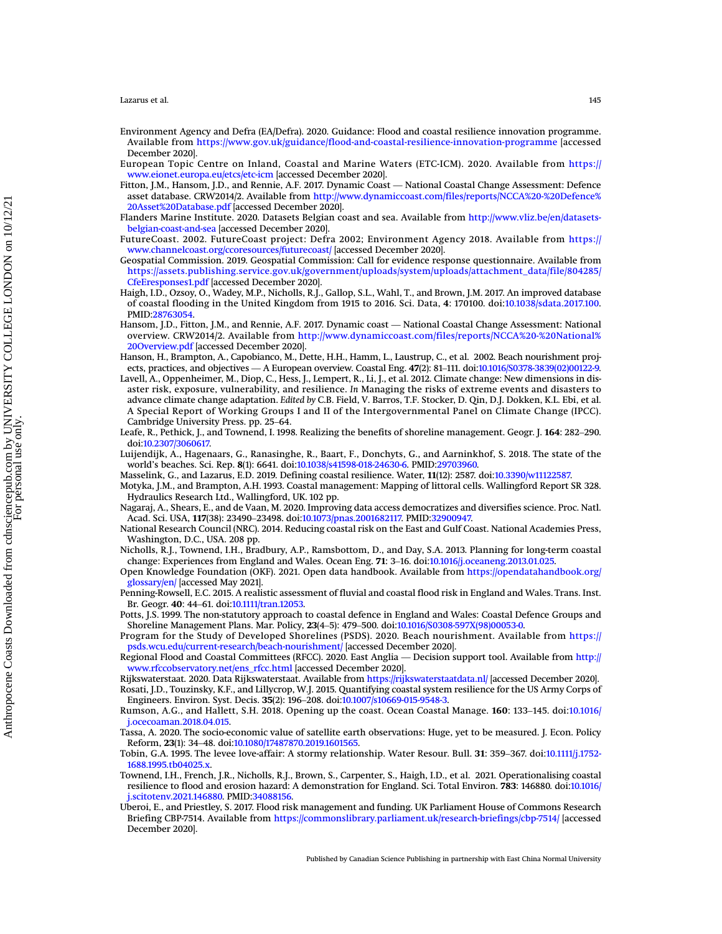- <span id="page-8-2"></span>Environment Agency and Defra (EA/Defra). 2020. Guidance: Flood and coastal resilience innovation programme. Available from <https://www.gov.uk/guidance/flood-and-coastal-resilience-innovation-programme> [accessed December 2020].
- <span id="page-8-26"></span>European Topic Centre on Inland, Coastal and Marine Waters (ETC-ICM). 2020. Available from [https://](https://www.eionet.europa.eu/etcs/etc-icm) [www.eionet.europa.eu/etcs/etc-icm](https://www.eionet.europa.eu/etcs/etc-icm) [accessed December 2020].
- <span id="page-8-9"></span>Fitton, J.M., Hansom, J.D., and Rennie, A.F. 2017. Dynamic Coast — National Coastal Change Assessment: Defence asset database. CRW2014/2. Available from [http://www.dynamiccoast.com/files/reports/NCCA%20-%20Defence%](http://www.dynamiccoast.com/files/reports/NCCA20-20Defence20Asset20Database.pdf) [20Asset%20Database.pdf](http://www.dynamiccoast.com/files/reports/NCCA20-20Defence20Asset20Database.pdf) [accessed December 2020].
- <span id="page-8-24"></span>Flanders Marine Institute. 2020. Datasets Belgian coast and sea. Available from [http://www.vliz.be/en/datasets](http://www.vliz.be/en/datasets-belgian-coast-and-sea)[belgian-coast-and-sea](http://www.vliz.be/en/datasets-belgian-coast-and-sea) [accessed December 2020].
- <span id="page-8-11"></span>FutureCoast. 2002. FutureCoast project: Defra 2002; Environment Agency 2018. Available from [https://](https://www.channelcoast.org/ccoresources/futurecoast/) [www.channelcoast.org/ccoresources/futurecoast/](https://www.channelcoast.org/ccoresources/futurecoast/) [accessed December 2020].
- <span id="page-8-16"></span>Geospatial Commission. 2019. Geospatial Commission: Call for evidence response questionnaire. Available from [https://assets.publishing.service.gov.uk/government/uploads/system/uploads/attachment\\_data/file/804285/](https://assets.publishing.service.gov.uk/government/uploads/system/uploads/attachment_data/file/804285/CfeEresponses1.pdf) [CfeEresponses1.pdf](https://assets.publishing.service.gov.uk/government/uploads/system/uploads/attachment_data/file/804285/CfeEresponses1.pdf) [accessed December 2020].
- <span id="page-8-23"></span>Crefresponses1.pdf |accessed December 2020].<br>Haigh, I.D., Ozsoy, O., Wadey, M.P., Nicholls, R.J., Gallop, S.L., Wahl, T., and Brown, J.M. 2017. An improved database<br>of coastal flooding in the United Kingdom from 1915 to 20 of coastal flooding in the United Kingdom from 1915 to 2016. Sci. Data, 4: 170100. doi[:10.1038/sdata.2017.100.](http://dx.doi.org/10.1038/sdata.2017.100) PMID:[28763054](http://www.ncbi.nlm.nih.gov/pubmed/28763054).<br>Hansom, J.D., Fitton, J.M., and Rennie, A.F. 2017. Dynamic coast — National Coastal Change Assessment: National
- <span id="page-8-18"></span>overview. CRW2014/2. Available from [http://www.dynamiccoast.com/files/reports/NCCA%20-%20National%](http://www.dynamiccoast.com/files/reports/NCCA20-20National20Overview.pdf) [20Overview.pdf](http://www.dynamiccoast.com/files/reports/NCCA20-20National20Overview.pdf) [accessed December 2020].
- <span id="page-8-7"></span>Hanson, H., Brampton, A., Capobianco, M., Dette, H.H., Hamm, L., Laustrup, C., et al. 2002. Beach nourishment projects, practices, and objectives — A European overview. Coastal Eng. <sup>47</sup>(2): 81–111. doi[:10.1016/S0378-3839\(02\)00122-9](http://dx.doi.org/10.1016/S0378-3839(02)00122-9).
- <span id="page-8-4"></span>Lavell, A., Oppenheimer, M., Diop, C., Hess, J., Lempert, R., Li, J., et al. 2012. Climate change: New dimensions in disaven, A., Oppennemer, M., Diop, C., Hess, J., Lempert, K., Li, J., et al. 2012. Chinate change: New dimensions in dis-<br>aster risk, exposure, vulnerability, and resilience. In Managing the risks of extreme events and disast advance climate change adaptation. Edited by C.B. Field, V. Barros, T.F. Stocker, D. Qin, D.J. Dokken, K.L. Ebi, et al. A Special Report of Working Groups I and II of the Intergovernmental Panel on Climate Change (IPCC).
- <span id="page-8-13"></span>Leafe, R., Pethick, J., and Townend, I. 1998. Realizing the benefits of shoreline management. Geogr. J. <sup>164</sup>: 282–290. doi:[10.2307/3060617.](http://dx.doi.org/10.2307/3060617)
- <span id="page-8-10"></span>Luijendijk, A., Hagenaars, G., Ranasinghe, R., Baart, F., Donchyts, G., and Aarninkhof, S. 2018. The state of the world's beaches. Sci. Rep. 8(1): 6641. doi:[10.1038/s41598-018-24630-6.](http://dx.doi.org/10.1038/s41598-018-24630-6) PMID:[29703960.](http://www.ncbi.nlm.nih.gov/pubmed/29703960)
- <span id="page-8-21"></span>Masselink, G., and Lazarus, E.D. 2019. Defining coastal resilience. Water, 11(12): 2587. doi:[10.3390/w11122587.](http://dx.doi.org/10.3390/w11122587)

<span id="page-8-12"></span>Masselink, G., and Lazarus, E.D. 2019. Denning coastal resilience. Water, 11(12): 2587. doi:10.3390/W11122587.<br>Motyka, J.M., and Brampton, A.H. 1993. Coastal management: Mapping of littoral cells. Wallingford Report SR 328 Hydraulics Research Ltd., Wallingford, UK. 102 pp.

- <span id="page-8-27"></span>Nagaraj, A., Shears, E., and de Vaan, M. 2020. Improving data access democratizes and diversifies science. Proc. Natl.<br>Acad. Sci. USA, 117(38): 23490–23498. doi:10.1073/pnas.2001682117. PMID:32900947.
- <span id="page-8-5"></span>National Research Council (NRC). 2014. Reducing coastal risk on the East and Gulf Coast. National Academies Press, Washington, D.C., USA. 208 pp.

<span id="page-8-14"></span>Nicholls, R.J., Townend, I.H., Bradbury, A.P., Ramsbottom, D., and Day, S.A. 2013. Planning for long-term coastal change: Experiences from England and Wales. Ocean Eng. <sup>71</sup>: 3–16. doi:[10.1016/j.oceaneng.2013.01.025.](http://dx.doi.org/10.1016/j.oceaneng.2013.01.025)

- <span id="page-8-3"></span>Change: Experiences from England and Wales. Ocean Eng. 71: 3–16. doi:10.1016/j.oceaneng.2013.01.025.<br>Open Knowledge Foundation (OKF). 2021. Open data handbook. Available from [https://opendatahandbook.org/](https://opendatahandbook.org/glossary/en/)<br>glossary/en/ [acc [glossary/en/](https://opendatahandbook.org/glossary/en/) [accessed May 2021].
- <span id="page-8-15"></span>Penning-Rowsell, E.C. 2015. A realistic assessment of fluvial and coastal flood risk in England and Wales. Trans. Inst.
- <span id="page-8-0"></span>Potts, J.S. 1999. The non-statutory approach to coastal defence in England and Wales: Coastal Defence Groups and glossary/en/ |accessed May 2021].<br>|enning-Rowsell, E.C. 2015. A realistic assessment of fluvial and coastal flood risk in England and<br>Br. Geogr. 40: 44–61. doi:10.1111/tran.12053.<br>|ets. J.S. 1999. The non-statutory approac

<span id="page-8-8"></span>Program for the Study of Developed Shorelines (PSDS). 2020. Beach nourishment. Available from [https://](https://psds.wcu.edu/current-research/beach-nourishment/) [psds.wcu.edu/current-research/beach-nourishment/](https://psds.wcu.edu/current-research/beach-nourishment/) [accessed December 2020].<br>Regional Flood and Coastal Committees (RFCC). 2020. East Anglia — Decision support tool. Available from http:// Potts, J.S. 1999. The non-statutory approach to coastal defence in England and Wales: Coastal Defence Groups and<br>Shoreline Management Plans. Mar. Policy, 23(4–5): 479–500. doi:10.1016/S0308-597X(98)00053-0.<br>Program for the

<span id="page-8-17"></span>[www.rfccobservatory.net/ens\\_rfcc.html](http://www.rfccobservatory.net/ens_rfcc.html) [accessed December 2020].

<span id="page-8-25"></span><span id="page-8-20"></span>Rijkswaterstaat. 2020. Data Rijkswaterstaat. Available from <https://rijkswaterstaatdata.nl/> [accessed December 2020]. Rosati, J.D., Touzinsky, K.F., and Lillycrop, W.J. 2015. Quantifying coastal system resilience for the US Army Corps of Engineers. Environ. Syst. Decis. 35(2): 196–208. doi:10.1007/s10669-015-9548-3. egional Flood and Coastal Committees (KFCC). 2020. East Anglia — Decision<br>www.rfccobservatory.net/ens\_rfcc.html [accessed December 2020].<br>likswaterstaat. 2020. Data Rijkswaterstaat. Available from https://rijkswatersta<br>psa WWW.FICCODSETVATORY.Net/ens\_FICC.NUMI [accessed December 2020].<br>Rujkswaterstaat.data.nl/ [accessed December 2020].<br>Rosati, J.D., Touzinsky, K.F., and Lillycrop, W.J. 2015. Quantifying coastal system resilience for the US A

<span id="page-8-19"></span>[j.ocecoaman.2018.04.015](http://dx.doi.org/10.1016/j.ocecoaman.2018.04.015). Engmeers. Environ. Syst. Decis. 35(2): 196–208. doi:10.10<br>umson, A.G., and Hallett, S.H. 2018. Opening up the<br>j.ocecoaman.2018.04.015.<br>sssa, A. 2020. The socio-economic value of satellite eart<br>Reform, **23**(1): 34–48. doi:1

<span id="page-8-28"></span>Tassa, A. 2020. The socio-economic value of satellite earth observations: Huge, yet to be measured. J. Econ. Policy Kumson, A.G., and Hallett, S.H. 2018. Opening up the coast. Ocean Coastal Manage. 160: 133–145. doi:10.1016/<br>1. Jocecoaman.2018.04.015.<br>Tassa, A. 2020. The socio-economic value of satellite earth observations: Huge, yet to

<span id="page-8-22"></span><span id="page-8-6"></span>[1688.1995.tb04025.x](http://dx.doi.org/10.1111/j.1752-1688.1995.tb04025.x).

- Townend, I.H., French, J.R., Nicholls, R.J., Brown, S., Carpenter, S., Haigh, I.D., et al. 2021. Operationalising coastal resilience to flood and erosion hazard: A demonstration for England. Sci. Total Environ. 783: 146880. doi[:10.1016/](http://dx.doi.org/10.1016/j.scitotenv.2021.146880) [j.scitotenv.2021.146880.](http://dx.doi.org/10.1016/j.scitotenv.2021.146880) PMID[:34088156](http://www.ncbi.nlm.nih.gov/pubmed/34088156).
- <span id="page-8-1"></span>Uberoi, E., and Priestley, S. 2017. Flood risk management and funding. UK Parliament House of Commons Research Briefing CBP-7514. Available from <https://commonslibrary.parliament.uk/research-briefings/cbp-7514/> [accessed December 2020].